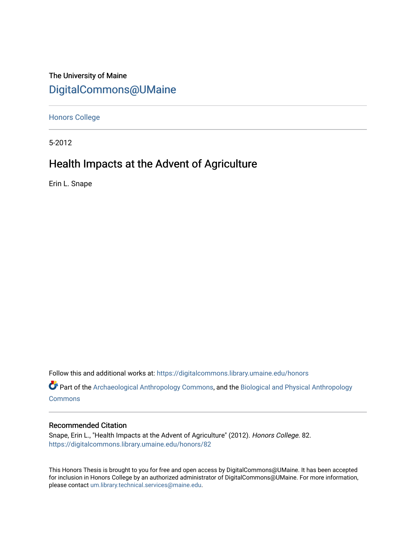# The University of Maine [DigitalCommons@UMaine](https://digitalcommons.library.umaine.edu/)

[Honors College](https://digitalcommons.library.umaine.edu/honors)

5-2012

# Health Impacts at the Advent of Agriculture

Erin L. Snape

Follow this and additional works at: [https://digitalcommons.library.umaine.edu/honors](https://digitalcommons.library.umaine.edu/honors?utm_source=digitalcommons.library.umaine.edu%2Fhonors%2F82&utm_medium=PDF&utm_campaign=PDFCoverPages) 

Part of the [Archaeological Anthropology Commons](http://network.bepress.com/hgg/discipline/319?utm_source=digitalcommons.library.umaine.edu%2Fhonors%2F82&utm_medium=PDF&utm_campaign=PDFCoverPages), and the [Biological and Physical Anthropology](http://network.bepress.com/hgg/discipline/320?utm_source=digitalcommons.library.umaine.edu%2Fhonors%2F82&utm_medium=PDF&utm_campaign=PDFCoverPages)  **[Commons](http://network.bepress.com/hgg/discipline/320?utm_source=digitalcommons.library.umaine.edu%2Fhonors%2F82&utm_medium=PDF&utm_campaign=PDFCoverPages)** 

# Recommended Citation

Snape, Erin L., "Health Impacts at the Advent of Agriculture" (2012). Honors College. 82. [https://digitalcommons.library.umaine.edu/honors/82](https://digitalcommons.library.umaine.edu/honors/82?utm_source=digitalcommons.library.umaine.edu%2Fhonors%2F82&utm_medium=PDF&utm_campaign=PDFCoverPages) 

This Honors Thesis is brought to you for free and open access by DigitalCommons@UMaine. It has been accepted for inclusion in Honors College by an authorized administrator of DigitalCommons@UMaine. For more information, please contact [um.library.technical.services@maine.edu.](mailto:um.library.technical.services@maine.edu)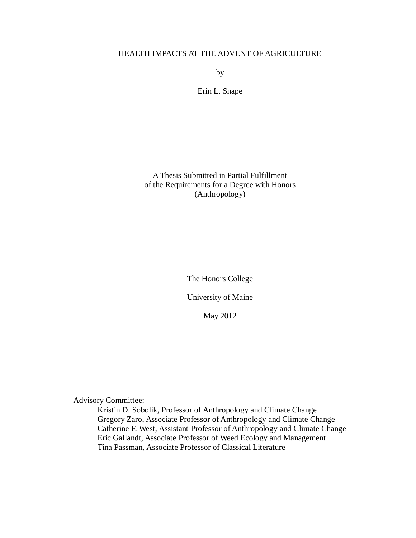# HEALTH IMPACTS AT THE ADVENT OF AGRICULTURE

by

Erin L. Snape

A Thesis Submitted in Partial Fulfillment of the Requirements for a Degree with Honors (Anthropology)

The Honors College

University of Maine

May 2012

Advisory Committee:

Kristin D. Sobolik, Professor of Anthropology and Climate Change Gregory Zaro, Associate Professor of Anthropology and Climate Change Catherine F. West, Assistant Professor of Anthropology and Climate Change Eric Gallandt, Associate Professor of Weed Ecology and Management Tina Passman, Associate Professor of Classical Literature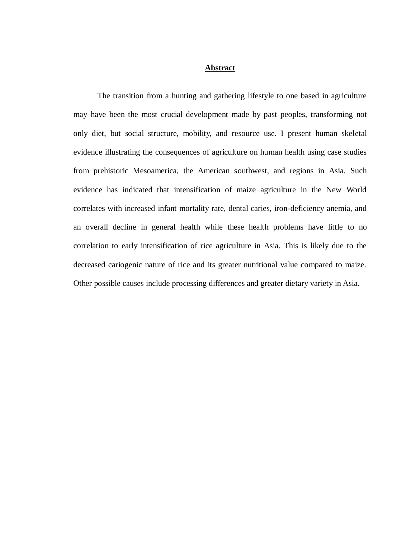# **Abstract**

The transition from a hunting and gathering lifestyle to one based in agriculture may have been the most crucial development made by past peoples, transforming not only diet, but social structure, mobility, and resource use. I present human skeletal evidence illustrating the consequences of agriculture on human health using case studies from prehistoric Mesoamerica, the American southwest, and regions in Asia. Such evidence has indicated that intensification of maize agriculture in the New World correlates with increased infant mortality rate, dental caries, iron-deficiency anemia, and an overall decline in general health while these health problems have little to no correlation to early intensification of rice agriculture in Asia. This is likely due to the decreased cariogenic nature of rice and its greater nutritional value compared to maize. Other possible causes include processing differences and greater dietary variety in Asia.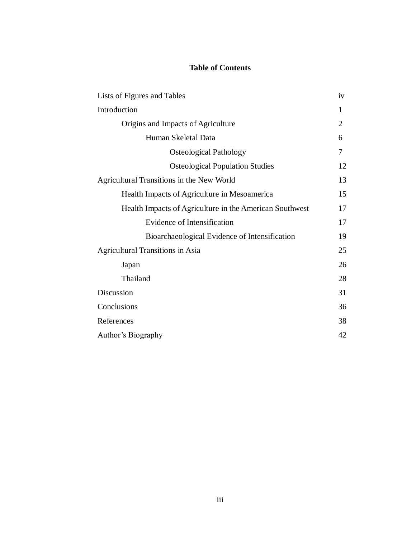# **Table of Contents**

| Lists of Figures and Tables                             | iv             |
|---------------------------------------------------------|----------------|
| Introduction                                            | 1              |
| Origins and Impacts of Agriculture                      | $\overline{2}$ |
| Human Skeletal Data                                     | 6              |
| <b>Osteological Pathology</b>                           | 7              |
| <b>Osteological Population Studies</b>                  | 12             |
| Agricultural Transitions in the New World               | 13             |
| Health Impacts of Agriculture in Mesoamerica            | 15             |
| Health Impacts of Agriculture in the American Southwest | 17             |
| Evidence of Intensification                             | 17             |
| Bioarchaeological Evidence of Intensification           | 19             |
| <b>Agricultural Transitions in Asia</b>                 | 25             |
| Japan                                                   | 26             |
| Thailand                                                | 28             |
| Discussion                                              | 31             |
| Conclusions                                             | 36             |
| References                                              | 38             |
| Author's Biography                                      | 42             |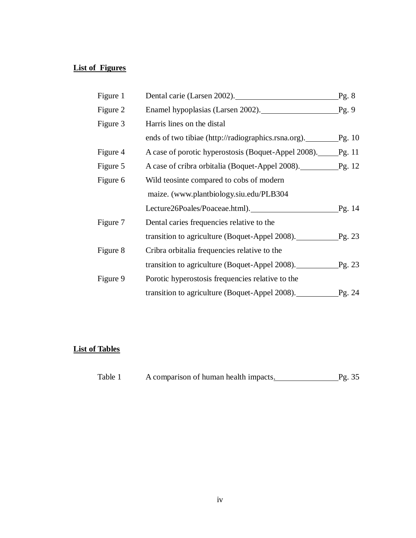# **List of Figures**

| Figure 1 | Dental carie (Larsen 2002).                                | Pg. 8                            |
|----------|------------------------------------------------------------|----------------------------------|
| Figure 2 | Enamel hypoplasias (Larsen 2002). Pg. 9                    |                                  |
| Figure 3 | Harris lines on the distal                                 |                                  |
|          | ends of two tibiae (http://radiographics.rsna.org). Pg. 10 |                                  |
| Figure 4 | A case of porotic hyperostosis (Boquet-Appel 2008). Pg. 11 |                                  |
| Figure 5 | A case of cribra orbitalia (Boquet-Appel 2008). Pg. 12     |                                  |
| Figure 6 | Wild teosinte compared to cobs of modern                   |                                  |
|          | maize. (www.plantbiology.siu.edu/PLB304                    |                                  |
|          | Lecture26Poales/Poaceae.html).                             | $\lbrack \text{Pg. } 14 \rbrack$ |
| Figure 7 | Dental caries frequencies relative to the                  |                                  |
|          | transition to agriculture (Boquet-Appel 2008).             | $\Gamma$ g. 23                   |
| Figure 8 | Cribra orbitalia frequencies relative to the               |                                  |
|          | transition to agriculture (Boquet-Appel 2008).             | $\Gamma$ g. 23                   |
| Figure 9 | Porotic hyperostosis frequencies relative to the           |                                  |
|          | transition to agriculture (Boquet-Appel 2008). Pg. 24      |                                  |

# **List of Tables**

| Table 1 | A comparison of human health impacts. | Pg. 35 |
|---------|---------------------------------------|--------|
|---------|---------------------------------------|--------|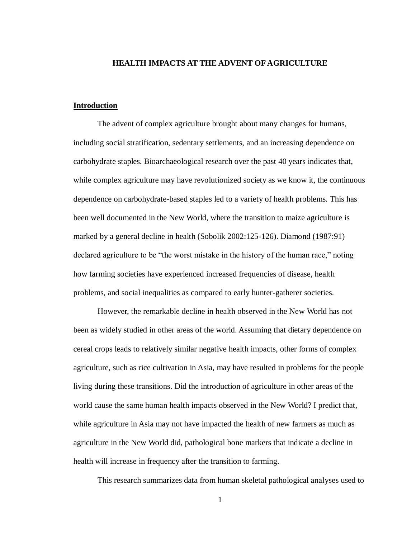# **HEALTH IMPACTS AT THE ADVENT OF AGRICULTURE**

# **Introduction**

The advent of complex agriculture brought about many changes for humans, including social stratification, sedentary settlements, and an increasing dependence on carbohydrate staples. Bioarchaeological research over the past 40 years indicates that, while complex agriculture may have revolutionized society as we know it, the continuous dependence on carbohydrate-based staples led to a variety of health problems. This has been well documented in the New World, where the transition to maize agriculture is marked by a general decline in health (Sobolik 2002:125-126). Diamond (1987:91) declared agriculture to be "the worst mistake in the history of the human race," noting how farming societies have experienced increased frequencies of disease, health problems, and social inequalities as compared to early hunter-gatherer societies.

However, the remarkable decline in health observed in the New World has not been as widely studied in other areas of the world. Assuming that dietary dependence on cereal crops leads to relatively similar negative health impacts, other forms of complex agriculture, such as rice cultivation in Asia, may have resulted in problems for the people living during these transitions. Did the introduction of agriculture in other areas of the world cause the same human health impacts observed in the New World? I predict that, while agriculture in Asia may not have impacted the health of new farmers as much as agriculture in the New World did, pathological bone markers that indicate a decline in health will increase in frequency after the transition to farming.

This research summarizes data from human skeletal pathological analyses used to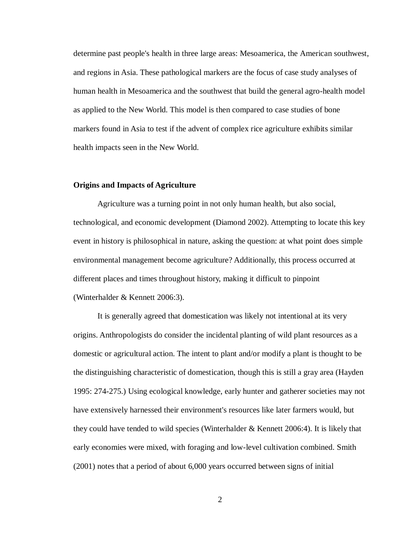determine past people's health in three large areas: Mesoamerica, the American southwest, and regions in Asia. These pathological markers are the focus of case study analyses of human health in Mesoamerica and the southwest that build the general agro-health model as applied to the New World. This model is then compared to case studies of bone markers found in Asia to test if the advent of complex rice agriculture exhibits similar health impacts seen in the New World.

### **Origins and Impacts of Agriculture**

Agriculture was a turning point in not only human health, but also social, technological, and economic development (Diamond 2002). Attempting to locate this key event in history is philosophical in nature, asking the question: at what point does simple environmental management become agriculture? Additionally, this process occurred at different places and times throughout history, making it difficult to pinpoint (Winterhalder & Kennett 2006:3).

It is generally agreed that domestication was likely not intentional at its very origins. Anthropologists do consider the incidental planting of wild plant resources as a domestic or agricultural action. The intent to plant and/or modify a plant is thought to be the distinguishing characteristic of domestication, though this is still a gray area (Hayden 1995: 274-275.) Using ecological knowledge, early hunter and gatherer societies may not have extensively harnessed their environment's resources like later farmers would, but they could have tended to wild species (Winterhalder & Kennett 2006:4). It is likely that early economies were mixed, with foraging and low-level cultivation combined. Smith (2001) notes that a period of about 6,000 years occurred between signs of initial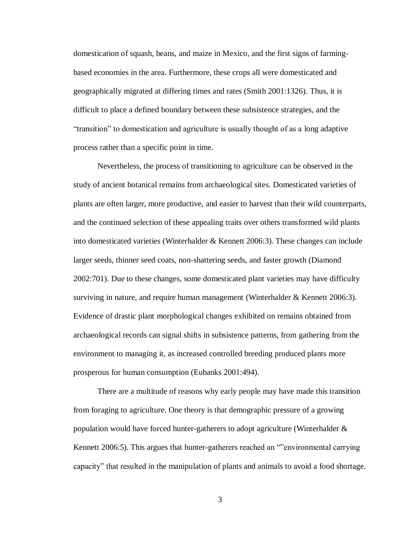domestication of squash, beans, and maize in Mexico, and the first signs of farmingbased economies in the area. Furthermore, these crops all were domesticated and geographically migrated at differing times and rates (Smith 2001:1326). Thus, it is difficult to place a defined boundary between these subsistence strategies, and the "transition" to domestication and agriculture is usually thought of as a long adaptive process rather than a specific point in time.

Nevertheless, the process of transitioning to agriculture can be observed in the study of ancient botanical remains from archaeological sites. Domesticated varieties of plants are often larger, more productive, and easier to harvest than their wild counterparts, and the continued selection of these appealing traits over others transformed wild plants into domesticated varieties (Winterhalder & Kennett 2006:3). These changes can include larger seeds, thinner seed coats, non-shattering seeds, and faster growth (Diamond 2002:701). Due to these changes, some domesticated plant varieties may have difficulty surviving in nature, and require human management (Winterhalder & Kennett 2006:3). Evidence of drastic plant morphological changes exhibited on remains obtained from archaeological records can signal shifts in subsistence patterns, from gathering from the environment to managing it, as increased controlled breeding produced plants more prosperous for human consumption (Eubanks 2001:494).

There are a multitude of reasons why early people may have made this transition from foraging to agriculture. One theory is that demographic pressure of a growing population would have forced hunter-gatherers to adopt agriculture (Winterhalder & Kennett 2006:5). This argues that hunter-gatherers reached an ""environmental carrying capacity" that resulted in the manipulation of plants and animals to avoid a food shortage.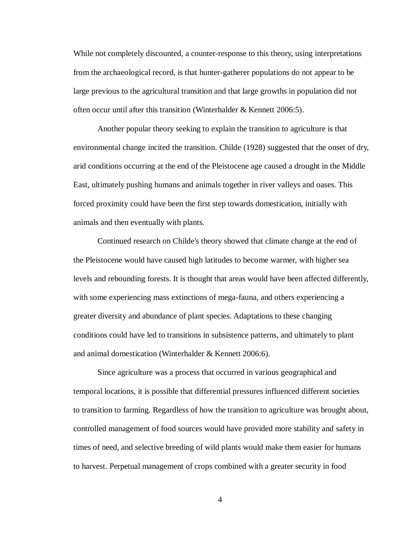While not completely discounted, a counter-response to this theory, using interpretations from the archaeological record, is that hunter-gatherer populations do not appear to be large previous to the agricultural transition and that large growths in population did not often occur until after this transition (Winterhalder & Kennett 2006:5).

Another popular theory seeking to explain the transition to agriculture is that environmental change incited the transition. Childe (1928) suggested that the onset of dry, arid conditions occurring at the end of the Pleistocene age caused a drought in the Middle East, ultimately pushing humans and animals together in river valleys and oases. This forced proximity could have been the first step towards domestication, initially with animals and then eventually with plants.

Continued research on Childe's theory showed that climate change at the end of the Pleistocene would have caused high latitudes to become warmer, with higher sea levels and rebounding forests. It is thought that areas would have been affected differently, with some experiencing mass extinctions of mega-fauna, and others experiencing a greater diversity and abundance of plant species. Adaptations to these changing conditions could have led to transitions in subsistence patterns, and ultimately to plant and animal domestication (Winterhalder & Kennett 2006:6).

Since agriculture was a process that occurred in various geographical and temporal locations, it is possible that differential pressures influenced different societies to transition to farming. Regardless of how the transition to agriculture was brought about, controlled management of food sources would have provided more stability and safety in times of need, and selective breeding of wild plants would make them easier for humans to harvest. Perpetual management of crops combined with a greater security in food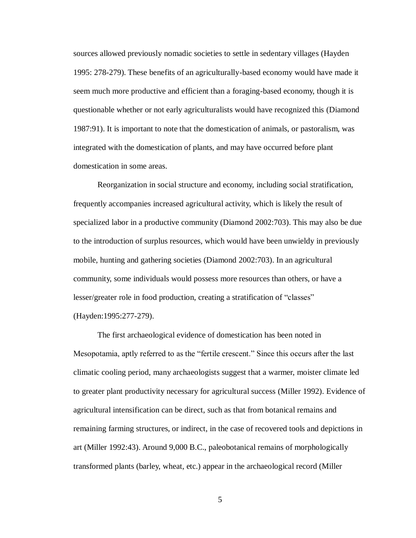sources allowed previously nomadic societies to settle in sedentary villages (Hayden 1995: 278-279). These benefits of an agriculturally-based economy would have made it seem much more productive and efficient than a foraging-based economy, though it is questionable whether or not early agriculturalists would have recognized this (Diamond 1987:91). It is important to note that the domestication of animals, or pastoralism, was integrated with the domestication of plants, and may have occurred before plant domestication in some areas.

Reorganization in social structure and economy, including social stratification, frequently accompanies increased agricultural activity, which is likely the result of specialized labor in a productive community (Diamond 2002:703). This may also be due to the introduction of surplus resources, which would have been unwieldy in previously mobile, hunting and gathering societies (Diamond 2002:703). In an agricultural community, some individuals would possess more resources than others, or have a lesser/greater role in food production, creating a stratification of "classes" (Hayden:1995:277-279).

The first archaeological evidence of domestication has been noted in Mesopotamia, aptly referred to as the "fertile crescent." Since this occurs after the last climatic cooling period, many archaeologists suggest that a warmer, moister climate led to greater plant productivity necessary for agricultural success (Miller 1992). Evidence of agricultural intensification can be direct, such as that from botanical remains and remaining farming structures, or indirect, in the case of recovered tools and depictions in art (Miller 1992:43). Around 9,000 B.C., paleobotanical remains of morphologically transformed plants (barley, wheat, etc.) appear in the archaeological record (Miller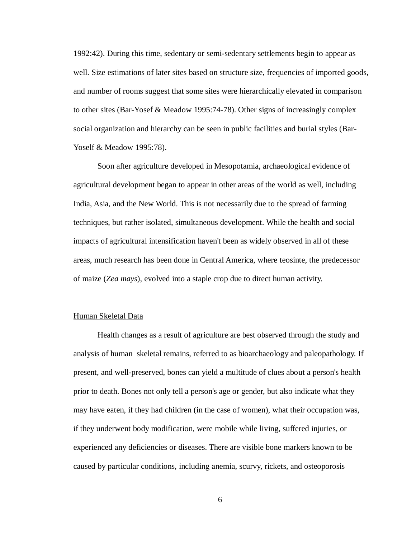1992:42). During this time, sedentary or semi-sedentary settlements begin to appear as well. Size estimations of later sites based on structure size, frequencies of imported goods, and number of rooms suggest that some sites were hierarchically elevated in comparison to other sites (Bar-Yosef & Meadow 1995:74-78). Other signs of increasingly complex social organization and hierarchy can be seen in public facilities and burial styles (Bar-Yoself & Meadow 1995:78).

Soon after agriculture developed in Mesopotamia, archaeological evidence of agricultural development began to appear in other areas of the world as well, including India, Asia, and the New World. This is not necessarily due to the spread of farming techniques, but rather isolated, simultaneous development. While the health and social impacts of agricultural intensification haven't been as widely observed in all of these areas, much research has been done in Central America, where teosinte, the predecessor of maize (*Zea mays*), evolved into a staple crop due to direct human activity.

#### Human Skeletal Data

Health changes as a result of agriculture are best observed through the study and analysis of human skeletal remains, referred to as bioarchaeology and paleopathology. If present, and well-preserved, bones can yield a multitude of clues about a person's health prior to death. Bones not only tell a person's age or gender, but also indicate what they may have eaten, if they had children (in the case of women), what their occupation was, if they underwent body modification, were mobile while living, suffered injuries, or experienced any deficiencies or diseases. There are visible bone markers known to be caused by particular conditions, including anemia, scurvy, rickets, and osteoporosis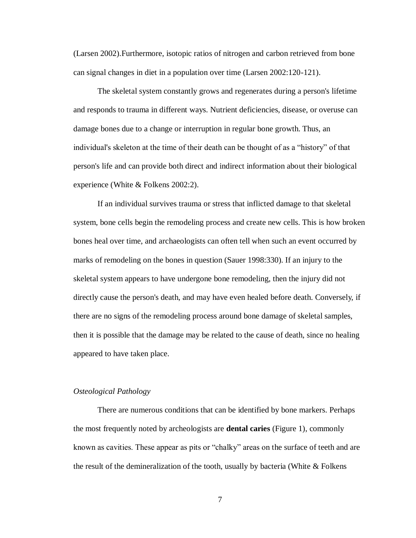(Larsen 2002).Furthermore, isotopic ratios of nitrogen and carbon retrieved from bone can signal changes in diet in a population over time (Larsen 2002:120-121).

The skeletal system constantly grows and regenerates during a person's lifetime and responds to trauma in different ways. Nutrient deficiencies, disease, or overuse can damage bones due to a change or interruption in regular bone growth. Thus, an individual's skeleton at the time of their death can be thought of as a "history" of that person's life and can provide both direct and indirect information about their biological experience (White & Folkens 2002:2).

If an individual survives trauma or stress that inflicted damage to that skeletal system, bone cells begin the remodeling process and create new cells. This is how broken bones heal over time, and archaeologists can often tell when such an event occurred by marks of remodeling on the bones in question (Sauer 1998:330). If an injury to the skeletal system appears to have undergone bone remodeling, then the injury did not directly cause the person's death, and may have even healed before death. Conversely, if there are no signs of the remodeling process around bone damage of skeletal samples, then it is possible that the damage may be related to the cause of death, since no healing appeared to have taken place.

# *Osteological Pathology*

There are numerous conditions that can be identified by bone markers. Perhaps the most frequently noted by archeologists are **dental caries** (Figure 1), commonly known as cavities. These appear as pits or "chalky" areas on the surface of teeth and are the result of the demineralization of the tooth, usually by bacteria (White  $\&$  Folkens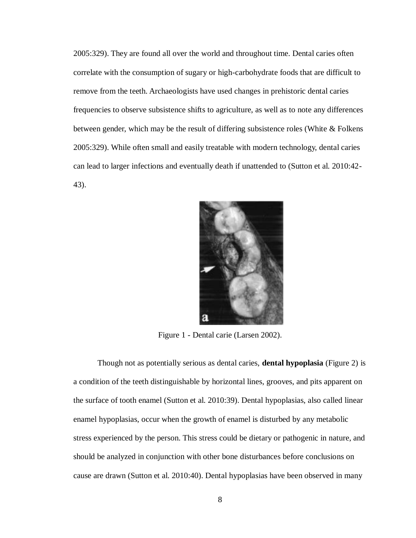2005:329). They are found all over the world and throughout time. Dental caries often correlate with the consumption of sugary or high-carbohydrate foods that are difficult to remove from the teeth. Archaeologists have used changes in prehistoric dental caries frequencies to observe subsistence shifts to agriculture, as well as to note any differences between gender, which may be the result of differing subsistence roles (White  $\&$  Folkens 2005:329). While often small and easily treatable with modern technology, dental caries can lead to larger infections and eventually death if unattended to (Sutton et al. 2010:42- 43).



Figure 1 - Dental carie (Larsen 2002).

Though not as potentially serious as dental caries, **dental hypoplasia** (Figure 2) is a condition of the teeth distinguishable by horizontal lines, grooves, and pits apparent on the surface of tooth enamel (Sutton et al. 2010:39). Dental hypoplasias, also called linear enamel hypoplasias, occur when the growth of enamel is disturbed by any metabolic stress experienced by the person. This stress could be dietary or pathogenic in nature, and should be analyzed in conjunction with other bone disturbances before conclusions on cause are drawn (Sutton et al. 2010:40). Dental hypoplasias have been observed in many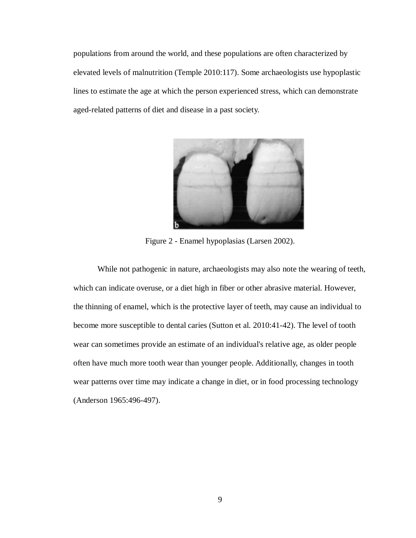populations from around the world, and these populations are often characterized by elevated levels of malnutrition (Temple 2010:117). Some archaeologists use hypoplastic lines to estimate the age at which the person experienced stress, which can demonstrate aged-related patterns of diet and disease in a past society.



Figure 2 - Enamel hypoplasias (Larsen 2002).

While not pathogenic in nature, archaeologists may also note the wearing of teeth, which can indicate overuse, or a diet high in fiber or other abrasive material. However, the thinning of enamel, which is the protective layer of teeth, may cause an individual to become more susceptible to dental caries (Sutton et al. 2010:41-42). The level of tooth wear can sometimes provide an estimate of an individual's relative age, as older people often have much more tooth wear than younger people. Additionally, changes in tooth wear patterns over time may indicate a change in diet, or in food processing technology (Anderson 1965:496-497).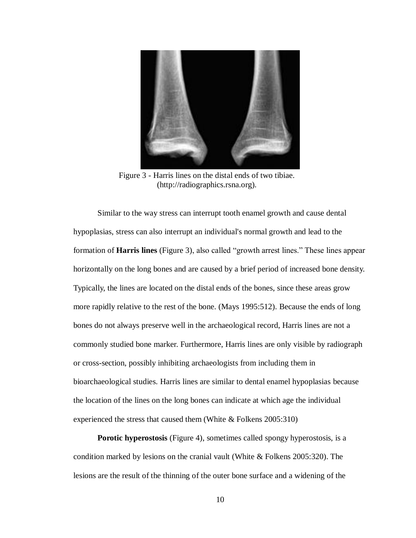

Figure 3 - Harris lines on the distal ends of two tibiae. (http://radiographics.rsna.org).

Similar to the way stress can interrupt tooth enamel growth and cause dental hypoplasias, stress can also interrupt an individual's normal growth and lead to the formation of **Harris lines** (Figure 3), also called "growth arrest lines." These lines appear horizontally on the long bones and are caused by a brief period of increased bone density. Typically, the lines are located on the distal ends of the bones, since these areas grow more rapidly relative to the rest of the bone. (Mays 1995:512). Because the ends of long bones do not always preserve well in the archaeological record, Harris lines are not a commonly studied bone marker. Furthermore, Harris lines are only visible by radiograph or cross-section, possibly inhibiting archaeologists from including them in bioarchaeological studies. Harris lines are similar to dental enamel hypoplasias because the location of the lines on the long bones can indicate at which age the individual experienced the stress that caused them (White & Folkens 2005:310)

**Porotic hyperostosis** (Figure 4), sometimes called spongy hyperostosis, is a condition marked by lesions on the cranial vault (White & Folkens 2005:320). The lesions are the result of the thinning of the outer bone surface and a widening of the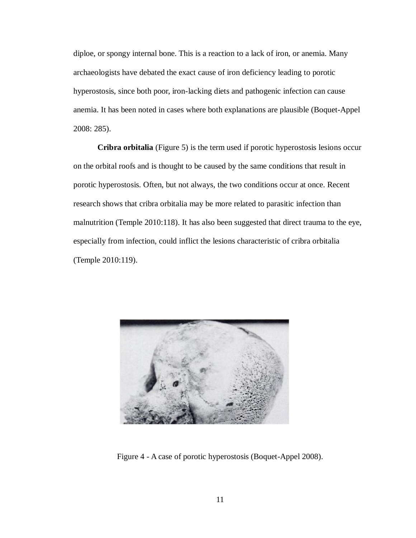diploe, or spongy internal bone. This is a reaction to a lack of iron, or anemia. Many archaeologists have debated the exact cause of iron deficiency leading to porotic hyperostosis, since both poor, iron-lacking diets and pathogenic infection can cause anemia. It has been noted in cases where both explanations are plausible (Boquet-Appel 2008: 285).

**Cribra orbitalia** (Figure 5) is the term used if porotic hyperostosis lesions occur on the orbital roofs and is thought to be caused by the same conditions that result in porotic hyperostosis. Often, but not always, the two conditions occur at once. Recent research shows that cribra orbitalia may be more related to parasitic infection than malnutrition (Temple 2010:118). It has also been suggested that direct trauma to the eye, especially from infection, could inflict the lesions characteristic of cribra orbitalia (Temple 2010:119).



Figure 4 - A case of porotic hyperostosis (Boquet-Appel 2008).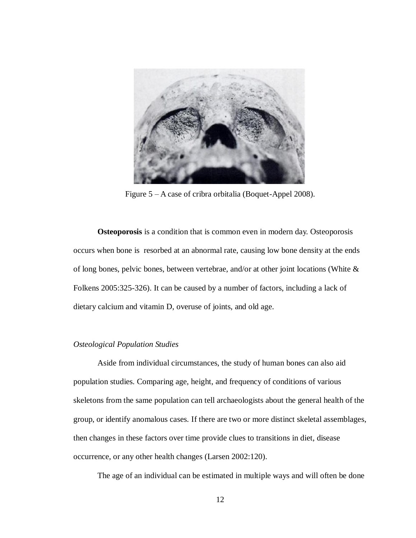

Figure 5 – A case of cribra orbitalia (Boquet-Appel 2008).

**Osteoporosis** is a condition that is common even in modern day. Osteoporosis occurs when bone is resorbed at an abnormal rate, causing low bone density at the ends of long bones, pelvic bones, between vertebrae, and/or at other joint locations (White & Folkens 2005:325-326). It can be caused by a number of factors, including a lack of dietary calcium and vitamin D, overuse of joints, and old age.

# *Osteological Population Studies*

Aside from individual circumstances, the study of human bones can also aid population studies. Comparing age, height, and frequency of conditions of various skeletons from the same population can tell archaeologists about the general health of the group, or identify anomalous cases. If there are two or more distinct skeletal assemblages, then changes in these factors over time provide clues to transitions in diet, disease occurrence, or any other health changes (Larsen 2002:120).

The age of an individual can be estimated in multiple ways and will often be done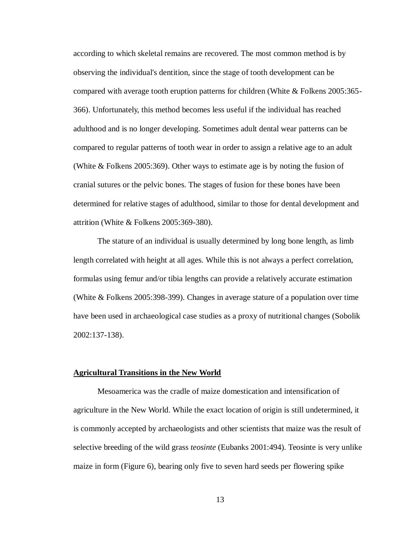according to which skeletal remains are recovered. The most common method is by observing the individual's dentition, since the stage of tooth development can be compared with average tooth eruption patterns for children (White & Folkens 2005:365- 366). Unfortunately, this method becomes less useful if the individual has reached adulthood and is no longer developing. Sometimes adult dental wear patterns can be compared to regular patterns of tooth wear in order to assign a relative age to an adult (White & Folkens 2005:369). Other ways to estimate age is by noting the fusion of cranial sutures or the pelvic bones. The stages of fusion for these bones have been determined for relative stages of adulthood, similar to those for dental development and attrition (White & Folkens 2005:369-380).

The stature of an individual is usually determined by long bone length, as limb length correlated with height at all ages. While this is not always a perfect correlation, formulas using femur and/or tibia lengths can provide a relatively accurate estimation (White & Folkens 2005:398-399). Changes in average stature of a population over time have been used in archaeological case studies as a proxy of nutritional changes (Sobolik 2002:137-138).

#### **Agricultural Transitions in the New World**

Mesoamerica was the cradle of maize domestication and intensification of agriculture in the New World. While the exact location of origin is still undetermined, it is commonly accepted by archaeologists and other scientists that maize was the result of selective breeding of the wild grass *teosinte* (Eubanks 2001:494)*.* Teosinte is very unlike maize in form (Figure 6), bearing only five to seven hard seeds per flowering spike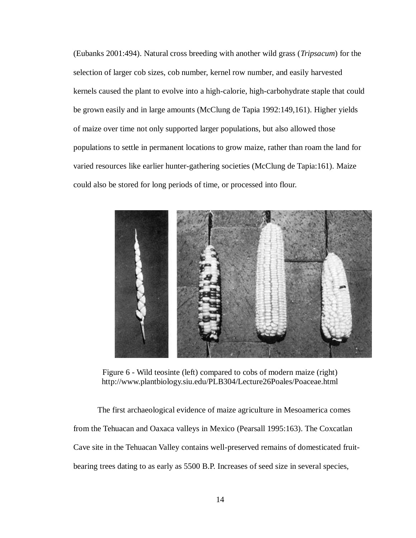(Eubanks 2001:494). Natural cross breeding with another wild grass (*Tripsacum*) for the selection of larger cob sizes, cob number, kernel row number, and easily harvested kernels caused the plant to evolve into a high-calorie, high-carbohydrate staple that could be grown easily and in large amounts (McClung de Tapia 1992:149,161). Higher yields of maize over time not only supported larger populations, but also allowed those populations to settle in permanent locations to grow maize, rather than roam the land for varied resources like earlier hunter-gathering societies (McClung de Tapia:161). Maize could also be stored for long periods of time, or processed into flour.



Figure 6 - Wild teosinte (left) compared to cobs of modern maize (right) http://www.plantbiology.siu.edu/PLB304/Lecture26Poales/Poaceae.html

The first archaeological evidence of maize agriculture in Mesoamerica comes from the Tehuacan and Oaxaca valleys in Mexico (Pearsall 1995:163). The Coxcatlan Cave site in the Tehuacan Valley contains well-preserved remains of domesticated fruitbearing trees dating to as early as 5500 B.P. Increases of seed size in several species,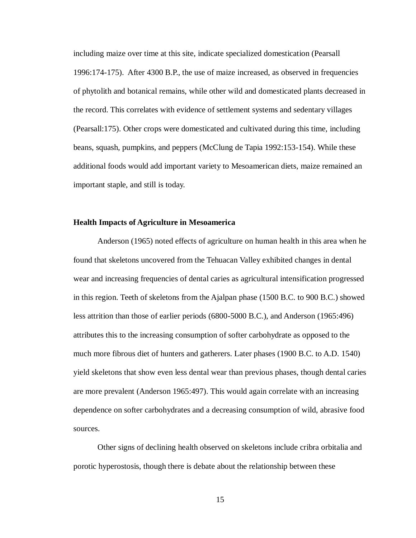including maize over time at this site, indicate specialized domestication (Pearsall 1996:174-175). After 4300 B.P., the use of maize increased, as observed in frequencies of phytolith and botanical remains, while other wild and domesticated plants decreased in the record. This correlates with evidence of settlement systems and sedentary villages (Pearsall:175). Other crops were domesticated and cultivated during this time, including beans, squash, pumpkins, and peppers (McClung de Tapia 1992:153-154). While these additional foods would add important variety to Mesoamerican diets, maize remained an important staple, and still is today.

### **Health Impacts of Agriculture in Mesoamerica**

Anderson (1965) noted effects of agriculture on human health in this area when he found that skeletons uncovered from the Tehuacan Valley exhibited changes in dental wear and increasing frequencies of dental caries as agricultural intensification progressed in this region. Teeth of skeletons from the Ajalpan phase (1500 B.C. to 900 B.C.) showed less attrition than those of earlier periods (6800-5000 B.C.), and Anderson (1965:496) attributes this to the increasing consumption of softer carbohydrate as opposed to the much more fibrous diet of hunters and gatherers. Later phases (1900 B.C. to A.D. 1540) yield skeletons that show even less dental wear than previous phases, though dental caries are more prevalent (Anderson 1965:497). This would again correlate with an increasing dependence on softer carbohydrates and a decreasing consumption of wild, abrasive food sources.

Other signs of declining health observed on skeletons include cribra orbitalia and porotic hyperostosis, though there is debate about the relationship between these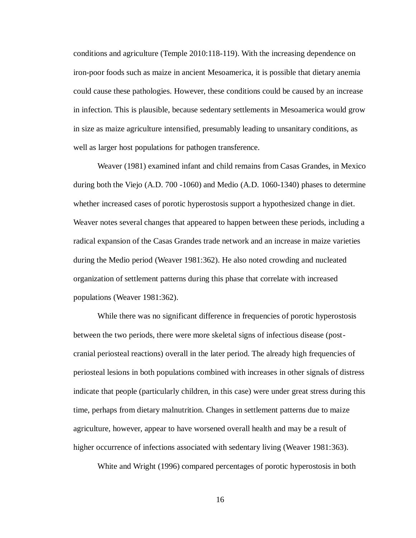conditions and agriculture (Temple 2010:118-119). With the increasing dependence on iron-poor foods such as maize in ancient Mesoamerica, it is possible that dietary anemia could cause these pathologies. However, these conditions could be caused by an increase in infection. This is plausible, because sedentary settlements in Mesoamerica would grow in size as maize agriculture intensified, presumably leading to unsanitary conditions, as well as larger host populations for pathogen transference.

Weaver (1981) examined infant and child remains from Casas Grandes, in Mexico during both the Viejo (A.D. 700 -1060) and Medio (A.D. 1060-1340) phases to determine whether increased cases of porotic hyperostosis support a hypothesized change in diet. Weaver notes several changes that appeared to happen between these periods, including a radical expansion of the Casas Grandes trade network and an increase in maize varieties during the Medio period (Weaver 1981:362). He also noted crowding and nucleated organization of settlement patterns during this phase that correlate with increased populations (Weaver 1981:362).

While there was no significant difference in frequencies of porotic hyperostosis between the two periods, there were more skeletal signs of infectious disease (postcranial periosteal reactions) overall in the later period. The already high frequencies of periosteal lesions in both populations combined with increases in other signals of distress indicate that people (particularly children, in this case) were under great stress during this time, perhaps from dietary malnutrition. Changes in settlement patterns due to maize agriculture, however, appear to have worsened overall health and may be a result of higher occurrence of infections associated with sedentary living (Weaver 1981:363).

White and Wright (1996) compared percentages of porotic hyperostosis in both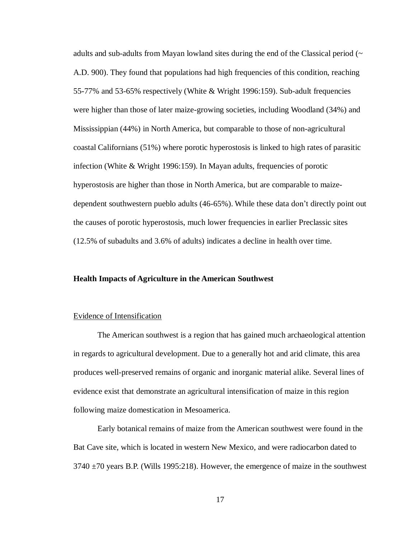adults and sub-adults from Mayan lowland sites during the end of the Classical period  $(\sim$ A.D. 900). They found that populations had high frequencies of this condition, reaching 55-77% and 53-65% respectively (White & Wright 1996:159). Sub-adult frequencies were higher than those of later maize-growing societies, including Woodland (34%) and Mississippian (44%) in North America, but comparable to those of non-agricultural coastal Californians (51%) where porotic hyperostosis is linked to high rates of parasitic infection (White & Wright 1996:159). In Mayan adults, frequencies of porotic hyperostosis are higher than those in North America, but are comparable to maizedependent southwestern pueblo adults (46-65%). While these data don't directly point out the causes of porotic hyperostosis, much lower frequencies in earlier Preclassic sites (12.5% of subadults and 3.6% of adults) indicates a decline in health over time.

#### **Health Impacts of Agriculture in the American Southwest**

### Evidence of Intensification

The American southwest is a region that has gained much archaeological attention in regards to agricultural development. Due to a generally hot and arid climate, this area produces well-preserved remains of organic and inorganic material alike. Several lines of evidence exist that demonstrate an agricultural intensification of maize in this region following maize domestication in Mesoamerica.

Early botanical remains of maize from the American southwest were found in the Bat Cave site, which is located in western New Mexico, and were radiocarbon dated to 3740 ±70 years B.P. (Wills 1995:218). However, the emergence of maize in the southwest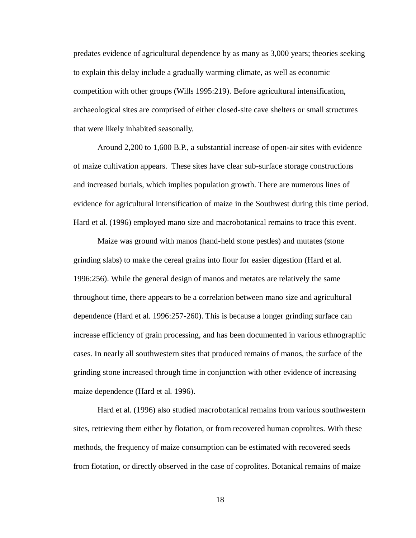predates evidence of agricultural dependence by as many as 3,000 years; theories seeking to explain this delay include a gradually warming climate, as well as economic competition with other groups (Wills 1995:219). Before agricultural intensification, archaeological sites are comprised of either closed-site cave shelters or small structures that were likely inhabited seasonally.

Around 2,200 to 1,600 B.P., a substantial increase of open-air sites with evidence of maize cultivation appears. These sites have clear sub-surface storage constructions and increased burials, which implies population growth. There are numerous lines of evidence for agricultural intensification of maize in the Southwest during this time period. Hard et al. (1996) employed mano size and macrobotanical remains to trace this event.

Maize was ground with manos (hand-held stone pestles) and mutates (stone grinding slabs) to make the cereal grains into flour for easier digestion (Hard et al. 1996:256). While the general design of manos and metates are relatively the same throughout time, there appears to be a correlation between mano size and agricultural dependence (Hard et al. 1996:257-260). This is because a longer grinding surface can increase efficiency of grain processing, and has been documented in various ethnographic cases. In nearly all southwestern sites that produced remains of manos, the surface of the grinding stone increased through time in conjunction with other evidence of increasing maize dependence (Hard et al. 1996).

Hard et al. (1996) also studied macrobotanical remains from various southwestern sites, retrieving them either by flotation, or from recovered human coprolites. With these methods, the frequency of maize consumption can be estimated with recovered seeds from flotation, or directly observed in the case of coprolites. Botanical remains of maize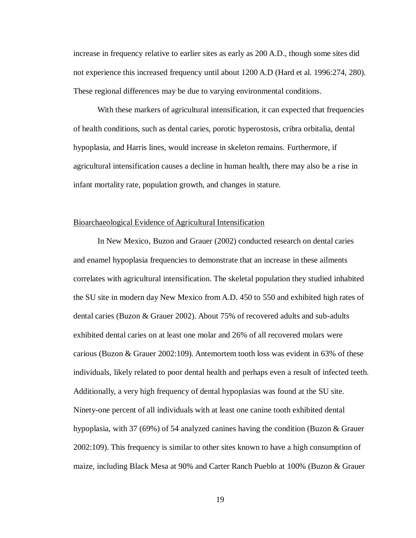increase in frequency relative to earlier sites as early as 200 A.D., though some sites did not experience this increased frequency until about 1200 A.D (Hard et al. 1996:274, 280). These regional differences may be due to varying environmental conditions.

With these markers of agricultural intensification, it can expected that frequencies of health conditions, such as dental caries, porotic hyperostosis, cribra orbitalia, dental hypoplasia, and Harris lines, would increase in skeleton remains. Furthermore, if agricultural intensification causes a decline in human health, there may also be a rise in infant mortality rate, population growth, and changes in stature.

### Bioarchaeological Evidence of Agricultural Intensification

In New Mexico, Buzon and Grauer (2002) conducted research on dental caries and enamel hypoplasia frequencies to demonstrate that an increase in these ailments correlates with agricultural intensification. The skeletal population they studied inhabited the SU site in modern day New Mexico from A.D. 450 to 550 and exhibited high rates of dental caries (Buzon & Grauer 2002). About 75% of recovered adults and sub-adults exhibited dental caries on at least one molar and 26% of all recovered molars were carious (Buzon & Grauer 2002:109). Antemortem tooth loss was evident in 63% of these individuals, likely related to poor dental health and perhaps even a result of infected teeth. Additionally, a very high frequency of dental hypoplasias was found at the SU site. Ninety-one percent of all individuals with at least one canine tooth exhibited dental hypoplasia, with 37 (69%) of 54 analyzed canines having the condition (Buzon & Grauer 2002:109). This frequency is similar to other sites known to have a high consumption of maize, including Black Mesa at 90% and Carter Ranch Pueblo at 100% (Buzon & Grauer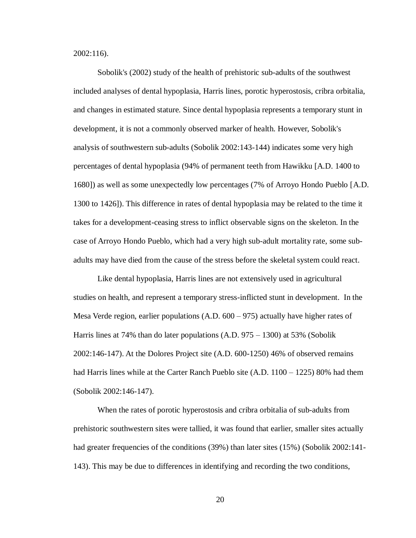2002:116).

Sobolik's (2002) study of the health of prehistoric sub-adults of the southwest included analyses of dental hypoplasia, Harris lines, porotic hyperostosis, cribra orbitalia, and changes in estimated stature. Since dental hypoplasia represents a temporary stunt in development, it is not a commonly observed marker of health. However, Sobolik's analysis of southwestern sub-adults (Sobolik 2002:143-144) indicates some very high percentages of dental hypoplasia (94% of permanent teeth from Hawikku [A.D. 1400 to 1680]) as well as some unexpectedly low percentages (7% of Arroyo Hondo Pueblo [A.D. 1300 to 1426]). This difference in rates of dental hypoplasia may be related to the time it takes for a development-ceasing stress to inflict observable signs on the skeleton. In the case of Arroyo Hondo Pueblo, which had a very high sub-adult mortality rate, some subadults may have died from the cause of the stress before the skeletal system could react.

Like dental hypoplasia, Harris lines are not extensively used in agricultural studies on health, and represent a temporary stress-inflicted stunt in development. In the Mesa Verde region, earlier populations (A.D. 600 – 975) actually have higher rates of Harris lines at 74% than do later populations (A.D. 975 – 1300) at 53% (Sobolik 2002:146-147). At the Dolores Project site (A.D. 600-1250) 46% of observed remains had Harris lines while at the Carter Ranch Pueblo site (A.D. 1100 – 1225) 80% had them (Sobolik 2002:146-147).

When the rates of porotic hyperostosis and cribra orbitalia of sub-adults from prehistoric southwestern sites were tallied, it was found that earlier, smaller sites actually had greater frequencies of the conditions (39%) than later sites (15%) (Sobolik 2002:141-143). This may be due to differences in identifying and recording the two conditions,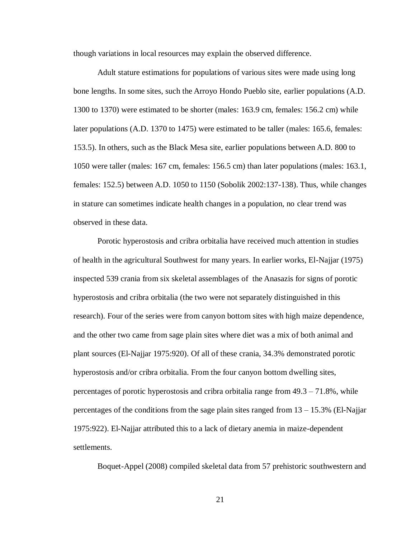though variations in local resources may explain the observed difference.

Adult stature estimations for populations of various sites were made using long bone lengths. In some sites, such the Arroyo Hondo Pueblo site, earlier populations (A.D. 1300 to 1370) were estimated to be shorter (males: 163.9 cm, females: 156.2 cm) while later populations (A.D. 1370 to 1475) were estimated to be taller (males: 165.6, females: 153.5). In others, such as the Black Mesa site, earlier populations between A.D. 800 to 1050 were taller (males: 167 cm, females: 156.5 cm) than later populations (males: 163.1, females: 152.5) between A.D. 1050 to 1150 (Sobolik 2002:137-138). Thus, while changes in stature can sometimes indicate health changes in a population, no clear trend was observed in these data.

Porotic hyperostosis and cribra orbitalia have received much attention in studies of health in the agricultural Southwest for many years. In earlier works, El-Najjar (1975) inspected 539 crania from six skeletal assemblages of the Anasazis for signs of porotic hyperostosis and cribra orbitalia (the two were not separately distinguished in this research). Four of the series were from canyon bottom sites with high maize dependence, and the other two came from sage plain sites where diet was a mix of both animal and plant sources (El-Najjar 1975:920). Of all of these crania, 34.3% demonstrated porotic hyperostosis and/or cribra orbitalia. From the four canyon bottom dwelling sites, percentages of porotic hyperostosis and cribra orbitalia range from 49.3 – 71.8%, while percentages of the conditions from the sage plain sites ranged from 13 – 15.3% (El-Najjar 1975:922). El-Najjar attributed this to a lack of dietary anemia in maize-dependent settlements.

Boquet-Appel (2008) compiled skeletal data from 57 prehistoric southwestern and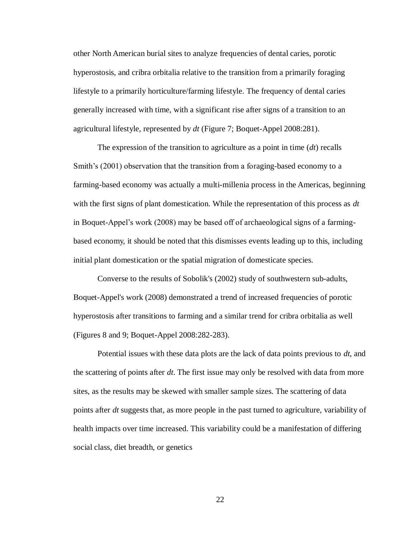other North American burial sites to analyze frequencies of dental caries, porotic hyperostosis, and cribra orbitalia relative to the transition from a primarily foraging lifestyle to a primarily horticulture/farming lifestyle. The frequency of dental caries generally increased with time, with a significant rise after signs of a transition to an agricultural lifestyle, represented by *dt* (Figure 7; Boquet-Appel 2008:281).

The expression of the transition to agriculture as a point in time (*dt*) recalls Smith's (2001) observation that the transition from a foraging-based economy to a farming-based economy was actually a multi-millenia process in the Americas, beginning with the first signs of plant domestication. While the representation of this process as *dt*  in Boquet-Appel's work (2008) may be based off of archaeological signs of a farmingbased economy, it should be noted that this dismisses events leading up to this, including initial plant domestication or the spatial migration of domesticate species.

Converse to the results of Sobolik's (2002) study of southwestern sub-adults, Boquet-Appel's work (2008) demonstrated a trend of increased frequencies of porotic hyperostosis after transitions to farming and a similar trend for cribra orbitalia as well (Figures 8 and 9; Boquet-Appel 2008:282-283).

Potential issues with these data plots are the lack of data points previous to *dt*, and the scattering of points after *dt*. The first issue may only be resolved with data from more sites, as the results may be skewed with smaller sample sizes. The scattering of data points after *dt* suggests that, as more people in the past turned to agriculture, variability of health impacts over time increased. This variability could be a manifestation of differing social class, diet breadth, or genetics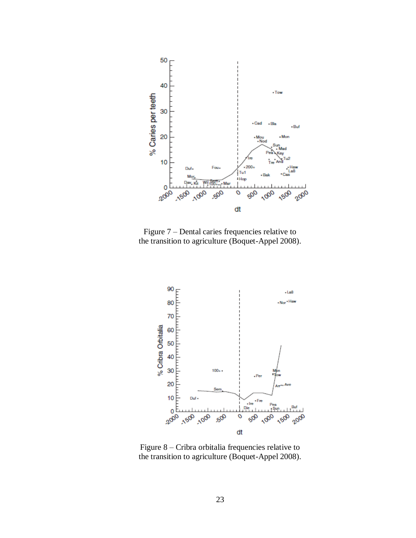

Figure 7 – Dental caries frequencies relative to the transition to agriculture (Boquet-Appel 2008).



Figure 8 – Cribra orbitalia frequencies relative to the transition to agriculture (Boquet-Appel 2008).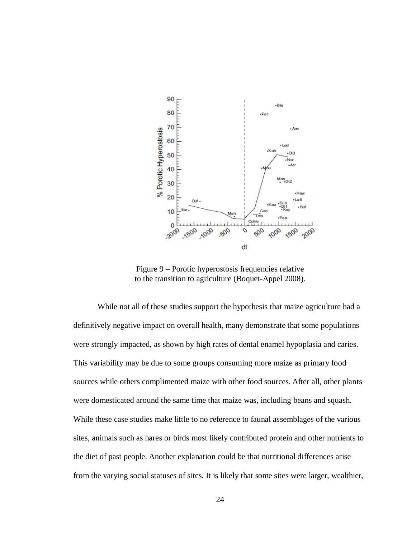

Figure 9 – Porotic hyperostosis frequencies relative to the transition to agriculture (Boquet-Appel 2008).

While not all of these studies support the hypothesis that maize agriculture had a definitively negative impact on overall health, many demonstrate that some populations were strongly impacted, as shown by high rates of dental enamel hypoplasia and caries. This variability may be due to some groups consuming more maize as primary food sources while others complimented maize with other food sources. After all, other plants were domesticated around the same time that maize was, including beans and squash. While these case studies make little to no reference to faunal assemblages of the various sites, animals such as hares or birds most likely contributed protein and other nutrients to the diet of past people. Another explanation could be that nutritional differences arise from the varying social statuses of sites. It is likely that some sites were larger, wealthier,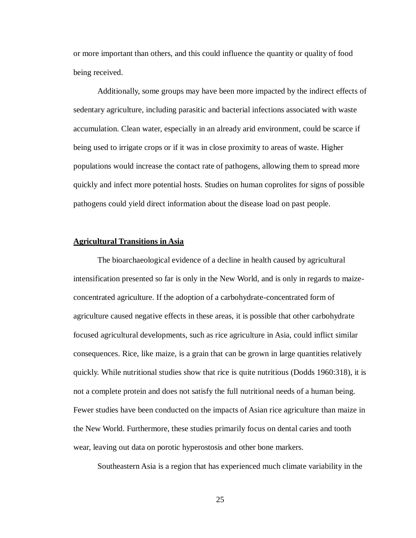or more important than others, and this could influence the quantity or quality of food being received.

Additionally, some groups may have been more impacted by the indirect effects of sedentary agriculture, including parasitic and bacterial infections associated with waste accumulation. Clean water, especially in an already arid environment, could be scarce if being used to irrigate crops or if it was in close proximity to areas of waste. Higher populations would increase the contact rate of pathogens, allowing them to spread more quickly and infect more potential hosts. Studies on human coprolites for signs of possible pathogens could yield direct information about the disease load on past people.

# **Agricultural Transitions in Asia**

The bioarchaeological evidence of a decline in health caused by agricultural intensification presented so far is only in the New World, and is only in regards to maizeconcentrated agriculture. If the adoption of a carbohydrate-concentrated form of agriculture caused negative effects in these areas, it is possible that other carbohydrate focused agricultural developments, such as rice agriculture in Asia, could inflict similar consequences. Rice, like maize, is a grain that can be grown in large quantities relatively quickly. While nutritional studies show that rice is quite nutritious (Dodds 1960:318), it is not a complete protein and does not satisfy the full nutritional needs of a human being. Fewer studies have been conducted on the impacts of Asian rice agriculture than maize in the New World. Furthermore, these studies primarily focus on dental caries and tooth wear, leaving out data on porotic hyperostosis and other bone markers.

Southeastern Asia is a region that has experienced much climate variability in the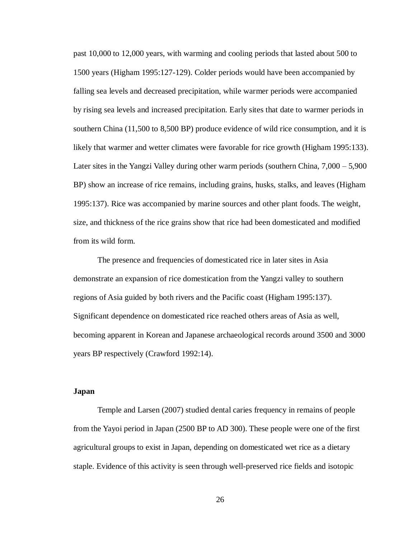past 10,000 to 12,000 years, with warming and cooling periods that lasted about 500 to 1500 years (Higham 1995:127-129). Colder periods would have been accompanied by falling sea levels and decreased precipitation, while warmer periods were accompanied by rising sea levels and increased precipitation. Early sites that date to warmer periods in southern China (11,500 to 8,500 BP) produce evidence of wild rice consumption, and it is likely that warmer and wetter climates were favorable for rice growth (Higham 1995:133). Later sites in the Yangzi Valley during other warm periods (southern China, 7,000 – 5,900 BP) show an increase of rice remains, including grains, husks, stalks, and leaves (Higham 1995:137). Rice was accompanied by marine sources and other plant foods. The weight, size, and thickness of the rice grains show that rice had been domesticated and modified from its wild form.

The presence and frequencies of domesticated rice in later sites in Asia demonstrate an expansion of rice domestication from the Yangzi valley to southern regions of Asia guided by both rivers and the Pacific coast (Higham 1995:137). Significant dependence on domesticated rice reached others areas of Asia as well, becoming apparent in Korean and Japanese archaeological records around 3500 and 3000 years BP respectively (Crawford 1992:14).

# **Japan**

Temple and Larsen (2007) studied dental caries frequency in remains of people from the Yayoi period in Japan (2500 BP to AD 300). These people were one of the first agricultural groups to exist in Japan, depending on domesticated wet rice as a dietary staple. Evidence of this activity is seen through well-preserved rice fields and isotopic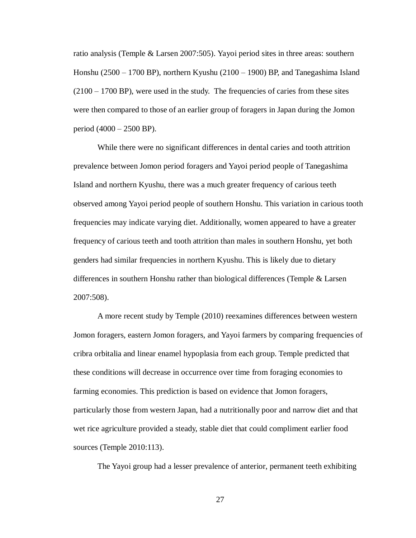ratio analysis (Temple & Larsen 2007:505). Yayoi period sites in three areas: southern Honshu (2500 – 1700 BP), northern Kyushu (2100 – 1900) BP, and Tanegashima Island  $(2100 - 1700$  BP), were used in the study. The frequencies of caries from these sites were then compared to those of an earlier group of foragers in Japan during the Jomon period (4000 – 2500 BP).

While there were no significant differences in dental caries and tooth attrition prevalence between Jomon period foragers and Yayoi period people of Tanegashima Island and northern Kyushu, there was a much greater frequency of carious teeth observed among Yayoi period people of southern Honshu. This variation in carious tooth frequencies may indicate varying diet. Additionally, women appeared to have a greater frequency of carious teeth and tooth attrition than males in southern Honshu, yet both genders had similar frequencies in northern Kyushu. This is likely due to dietary differences in southern Honshu rather than biological differences (Temple & Larsen 2007:508).

A more recent study by Temple (2010) reexamines differences between western Jomon foragers, eastern Jomon foragers, and Yayoi farmers by comparing frequencies of cribra orbitalia and linear enamel hypoplasia from each group. Temple predicted that these conditions will decrease in occurrence over time from foraging economies to farming economies. This prediction is based on evidence that Jomon foragers, particularly those from western Japan, had a nutritionally poor and narrow diet and that wet rice agriculture provided a steady, stable diet that could compliment earlier food sources (Temple 2010:113).

The Yayoi group had a lesser prevalence of anterior, permanent teeth exhibiting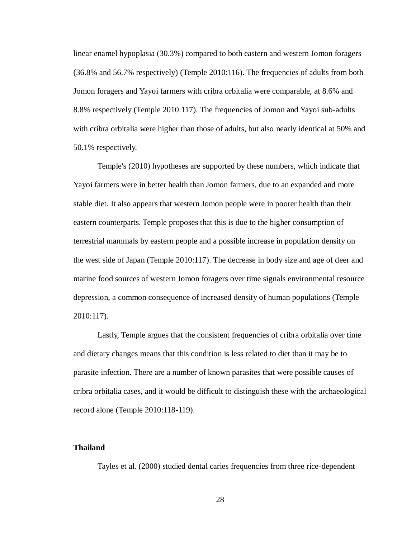linear enamel hypoplasia (30.3%) compared to both eastern and western Jomon foragers (36.8% and 56.7% respectively) (Temple 2010:116). The frequencies of adults from both Jomon foragers and Yayoi farmers with cribra orbitalia were comparable, at 8.6% and 8.8% respectively (Temple 2010:117). The frequencies of Jomon and Yayoi sub-adults with cribra orbitalia were higher than those of adults, but also nearly identical at 50% and 50.1% respectively.

Temple's (2010) hypotheses are supported by these numbers, which indicate that Yayoi farmers were in better health than Jomon farmers, due to an expanded and more stable diet. It also appears that western Jomon people were in poorer health than their eastern counterparts. Temple proposes that this is due to the higher consumption of terrestrial mammals by eastern people and a possible increase in population density on the west side of Japan (Temple 2010:117). The decrease in body size and age of deer and marine food sources of western Jomon foragers over time signals environmental resource depression, a common consequence of increased density of human populations (Temple 2010:117).

Lastly, Temple argues that the consistent frequencies of cribra orbitalia over time and dietary changes means that this condition is less related to diet than it may be to parasite infection. There are a number of known parasites that were possible causes of cribra orbitalia cases, and it would be difficult to distinguish these with the archaeological record alone (Temple 2010:118-119).

## **Thailand**

Tayles et al. (2000) studied dental caries frequencies from three rice-dependent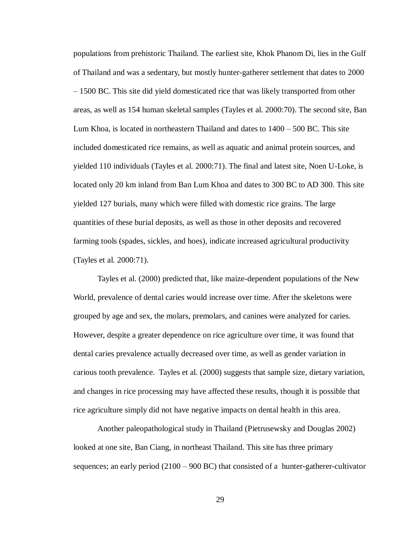populations from prehistoric Thailand. The earliest site, Khok Phanom Di, lies in the Gulf of Thailand and was a sedentary, but mostly hunter-gatherer settlement that dates to 2000 – 1500 BC. This site did yield domesticated rice that was likely transported from other areas, as well as 154 human skeletal samples (Tayles et al. 2000:70). The second site, Ban Lum Khoa, is located in northeastern Thailand and dates to 1400 – 500 BC. This site included domesticated rice remains, as well as aquatic and animal protein sources, and yielded 110 individuals (Tayles et al. 2000:71). The final and latest site, Noen U-Loke, is located only 20 km inland from Ban Lum Khoa and dates to 300 BC to AD 300. This site yielded 127 burials, many which were filled with domestic rice grains. The large quantities of these burial deposits, as well as those in other deposits and recovered farming tools (spades, sickles, and hoes), indicate increased agricultural productivity (Tayles et al. 2000:71).

Tayles et al. (2000) predicted that, like maize-dependent populations of the New World, prevalence of dental caries would increase over time. After the skeletons were grouped by age and sex, the molars, premolars, and canines were analyzed for caries. However, despite a greater dependence on rice agriculture over time, it was found that dental caries prevalence actually decreased over time, as well as gender variation in carious tooth prevalence. Tayles et al. (2000) suggests that sample size, dietary variation, and changes in rice processing may have affected these results, though it is possible that rice agriculture simply did not have negative impacts on dental health in this area.

Another paleopathological study in Thailand (Pietrusewsky and Douglas 2002) looked at one site, Ban Ciang, in northeast Thailand. This site has three primary sequences; an early period  $(2100 - 900 \text{ BC})$  that consisted of a hunter-gatherer-cultivator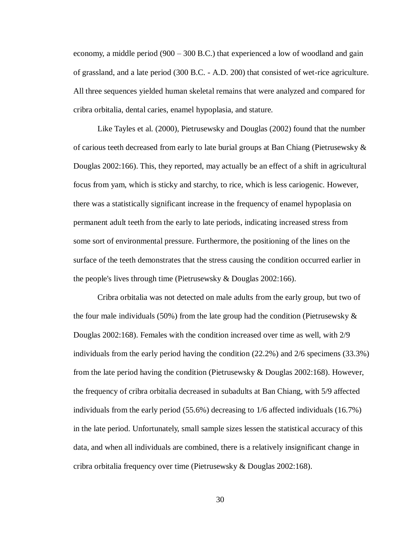economy, a middle period  $(900 - 300 B.C.)$  that experienced a low of woodland and gain of grassland, and a late period (300 B.C. - A.D. 200) that consisted of wet-rice agriculture. All three sequences yielded human skeletal remains that were analyzed and compared for cribra orbitalia, dental caries, enamel hypoplasia, and stature.

Like Tayles et al. (2000), Pietrusewsky and Douglas (2002) found that the number of carious teeth decreased from early to late burial groups at Ban Chiang (Pietrusewsky  $\&$ Douglas 2002:166). This, they reported, may actually be an effect of a shift in agricultural focus from yam, which is sticky and starchy, to rice, which is less cariogenic. However, there was a statistically significant increase in the frequency of enamel hypoplasia on permanent adult teeth from the early to late periods, indicating increased stress from some sort of environmental pressure. Furthermore, the positioning of the lines on the surface of the teeth demonstrates that the stress causing the condition occurred earlier in the people's lives through time (Pietrusewsky & Douglas 2002:166).

Cribra orbitalia was not detected on male adults from the early group, but two of the four male individuals (50%) from the late group had the condition (Pietrusewsky  $\&$ Douglas 2002:168). Females with the condition increased over time as well, with 2/9 individuals from the early period having the condition (22.2%) and 2/6 specimens (33.3%) from the late period having the condition (Pietrusewsky & Douglas 2002:168). However, the frequency of cribra orbitalia decreased in subadults at Ban Chiang, with 5/9 affected individuals from the early period (55.6%) decreasing to 1/6 affected individuals (16.7%) in the late period. Unfortunately, small sample sizes lessen the statistical accuracy of this data, and when all individuals are combined, there is a relatively insignificant change in cribra orbitalia frequency over time (Pietrusewsky & Douglas 2002:168).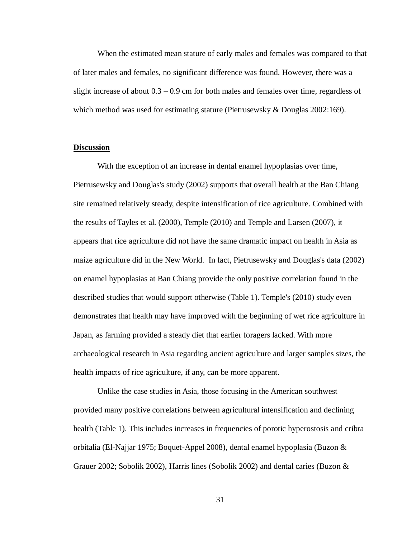When the estimated mean stature of early males and females was compared to that of later males and females, no significant difference was found. However, there was a slight increase of about  $0.3 - 0.9$  cm for both males and females over time, regardless of which method was used for estimating stature (Pietrusewsky  $&$  Douglas 2002:169).

# **Discussion**

With the exception of an increase in dental enamel hypoplasias over time, Pietrusewsky and Douglas's study (2002) supports that overall health at the Ban Chiang site remained relatively steady, despite intensification of rice agriculture. Combined with the results of Tayles et al. (2000), Temple (2010) and Temple and Larsen (2007), it appears that rice agriculture did not have the same dramatic impact on health in Asia as maize agriculture did in the New World. In fact, Pietrusewsky and Douglas's data (2002) on enamel hypoplasias at Ban Chiang provide the only positive correlation found in the described studies that would support otherwise (Table 1). Temple's (2010) study even demonstrates that health may have improved with the beginning of wet rice agriculture in Japan, as farming provided a steady diet that earlier foragers lacked. With more archaeological research in Asia regarding ancient agriculture and larger samples sizes, the health impacts of rice agriculture, if any, can be more apparent.

Unlike the case studies in Asia, those focusing in the American southwest provided many positive correlations between agricultural intensification and declining health (Table 1). This includes increases in frequencies of porotic hyperostosis and cribra orbitalia (El-Najjar 1975; Boquet-Appel 2008), dental enamel hypoplasia (Buzon & Grauer 2002; Sobolik 2002), Harris lines (Sobolik 2002) and dental caries (Buzon &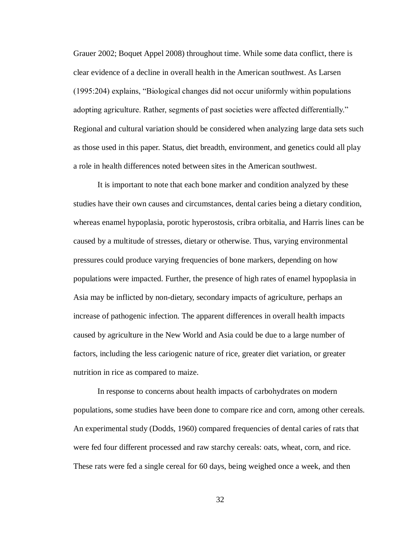Grauer 2002; Boquet Appel 2008) throughout time. While some data conflict, there is clear evidence of a decline in overall health in the American southwest. As Larsen (1995:204) explains, "Biological changes did not occur uniformly within populations adopting agriculture. Rather, segments of past societies were affected differentially." Regional and cultural variation should be considered when analyzing large data sets such as those used in this paper. Status, diet breadth, environment, and genetics could all play a role in health differences noted between sites in the American southwest.

It is important to note that each bone marker and condition analyzed by these studies have their own causes and circumstances, dental caries being a dietary condition, whereas enamel hypoplasia, porotic hyperostosis, cribra orbitalia, and Harris lines can be caused by a multitude of stresses, dietary or otherwise. Thus, varying environmental pressures could produce varying frequencies of bone markers, depending on how populations were impacted. Further, the presence of high rates of enamel hypoplasia in Asia may be inflicted by non-dietary, secondary impacts of agriculture, perhaps an increase of pathogenic infection. The apparent differences in overall health impacts caused by agriculture in the New World and Asia could be due to a large number of factors, including the less cariogenic nature of rice, greater diet variation, or greater nutrition in rice as compared to maize.

In response to concerns about health impacts of carbohydrates on modern populations, some studies have been done to compare rice and corn, among other cereals. An experimental study (Dodds, 1960) compared frequencies of dental caries of rats that were fed four different processed and raw starchy cereals: oats, wheat, corn, and rice. These rats were fed a single cereal for 60 days, being weighed once a week, and then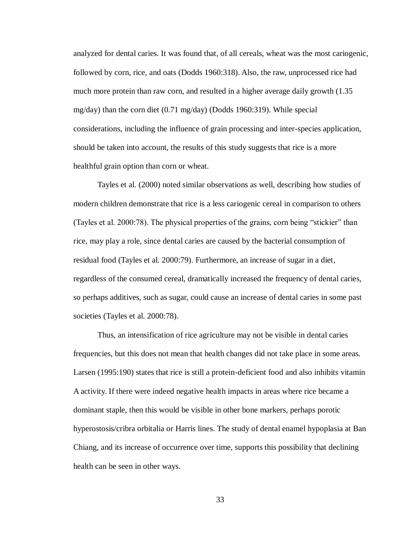analyzed for dental caries. It was found that, of all cereals, wheat was the most cariogenic, followed by corn, rice, and oats (Dodds 1960:318). Also, the raw, unprocessed rice had much more protein than raw corn, and resulted in a higher average daily growth (1.35 mg/day) than the corn diet (0.71 mg/day) (Dodds 1960:319). While special considerations, including the influence of grain processing and inter-species application, should be taken into account, the results of this study suggests that rice is a more healthful grain option than corn or wheat.

Tayles et al. (2000) noted similar observations as well, describing how studies of modern children demonstrate that rice is a less cariogenic cereal in comparison to others (Tayles et al. 2000:78). The physical properties of the grains, corn being "stickier" than rice, may play a role, since dental caries are caused by the bacterial consumption of residual food (Tayles et al. 2000:79). Furthermore, an increase of sugar in a diet, regardless of the consumed cereal, dramatically increased the frequency of dental caries, so perhaps additives, such as sugar, could cause an increase of dental caries in some past societies (Tayles et al. 2000:78).

Thus, an intensification of rice agriculture may not be visible in dental caries frequencies, but this does not mean that health changes did not take place in some areas. Larsen (1995:190) states that rice is still a protein-deficient food and also inhibits vitamin A activity. If there were indeed negative health impacts in areas where rice became a dominant staple, then this would be visible in other bone markers, perhaps porotic hyperostosis/cribra orbitalia or Harris lines. The study of dental enamel hypoplasia at Ban Chiang, and its increase of occurrence over time, supports this possibility that declining health can be seen in other ways.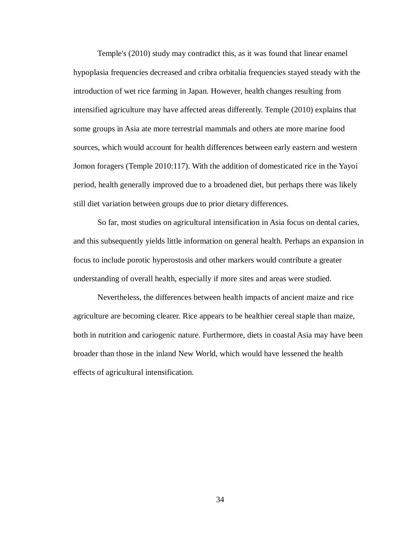Temple's (2010) study may contradict this, as it was found that linear enamel hypoplasia frequencies decreased and cribra orbitalia frequencies stayed steady with the introduction of wet rice farming in Japan. However, health changes resulting from intensified agriculture may have affected areas differently. Temple (2010) explains that some groups in Asia ate more terrestrial mammals and others ate more marine food sources, which would account for health differences between early eastern and western Jomon foragers (Temple 2010:117). With the addition of domesticated rice in the Yayoi period, health generally improved due to a broadened diet, but perhaps there was likely still diet variation between groups due to prior dietary differences.

So far, most studies on agricultural intensification in Asia focus on dental caries, and this subsequently yields little information on general health. Perhaps an expansion in focus to include porotic hyperostosis and other markers would contribute a greater understanding of overall health, especially if more sites and areas were studied.

Nevertheless, the differences between health impacts of ancient maize and rice agriculture are becoming clearer. Rice appears to be healthier cereal staple than maize, both in nutrition and cariogenic nature. Furthermore, diets in coastal Asia may have been broader than those in the inland New World, which would have lessened the health effects of agricultural intensification.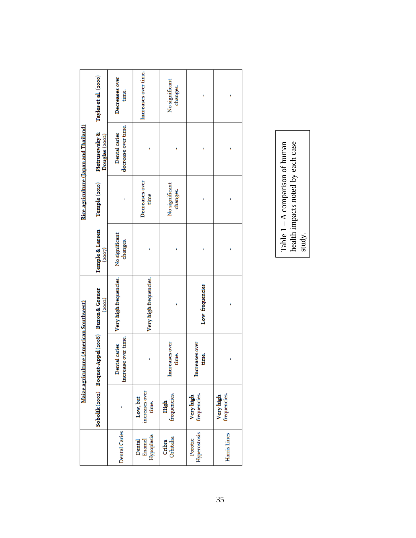|                                |                                     | Maize agriculture (American Southwest)            |                        |                                                   |                            | Rice agriculture (Japan and Thailand) |                            |
|--------------------------------|-------------------------------------|---------------------------------------------------|------------------------|---------------------------------------------------|----------------------------|---------------------------------------|----------------------------|
|                                |                                     | Sobolik (2002) Boquet-Appel (2008) Buzon & Grauer | (2002)                 | <b>Temple &amp; Larsen</b><br>$\left(2007\right)$ | Temple (2010)              | Pietrusewsky &<br>Douglas (2002)      | Tayles et al. (2000)       |
| <b>Dental Caries</b>           |                                     | increase over time.<br>Dental caries              | Very high frequencies. | No significant<br>changes.                        |                            | decrease over time.<br>Dental caries  | Decreases over<br>time.    |
| Hypoplasia<br>Enamel<br>Dental | increases over<br>Low, but<br>time. |                                                   | Very high frequencies. |                                                   | Decreases over<br>time     |                                       | Increases over time.       |
| Orbitalia<br>Cribra            | frequencies.<br>High                | Increases over<br>time.                           |                        |                                                   | No significant<br>changes. |                                       | No significant<br>changes. |
| Hyperostosis<br>Porotic        | frequencies.<br>Very high           | Increases over<br>time.                           | Low frequencies        |                                                   |                            |                                       |                            |
| Harris Lines                   | frequencies.<br>Very high           |                                                   |                        |                                                   |                            |                                       |                            |

Table 1 – A comparison of human health impacts noted by each case Table  $1 - A$  comparison of human<br>health impacts noted by each case<br>study.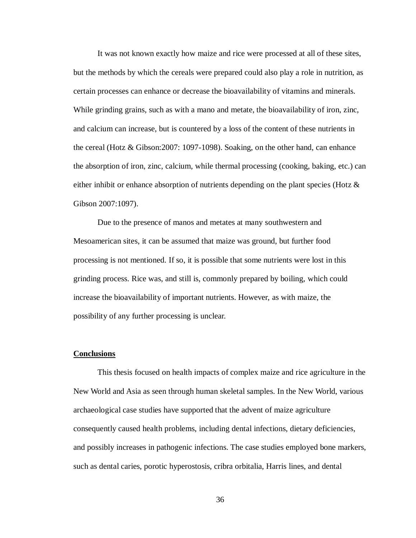It was not known exactly how maize and rice were processed at all of these sites, but the methods by which the cereals were prepared could also play a role in nutrition, as certain processes can enhance or decrease the bioavailability of vitamins and minerals. While grinding grains, such as with a mano and metate, the bioavailability of iron, zinc, and calcium can increase, but is countered by a loss of the content of these nutrients in the cereal (Hotz & Gibson:2007: 1097-1098). Soaking, on the other hand, can enhance the absorption of iron, zinc, calcium, while thermal processing (cooking, baking, etc.) can either inhibit or enhance absorption of nutrients depending on the plant species (Hotz  $\&$ Gibson 2007:1097).

Due to the presence of manos and metates at many southwestern and Mesoamerican sites, it can be assumed that maize was ground, but further food processing is not mentioned. If so, it is possible that some nutrients were lost in this grinding process. Rice was, and still is, commonly prepared by boiling, which could increase the bioavailability of important nutrients. However, as with maize, the possibility of any further processing is unclear.

#### **Conclusions**

This thesis focused on health impacts of complex maize and rice agriculture in the New World and Asia as seen through human skeletal samples. In the New World, various archaeological case studies have supported that the advent of maize agriculture consequently caused health problems, including dental infections, dietary deficiencies, and possibly increases in pathogenic infections. The case studies employed bone markers, such as dental caries, porotic hyperostosis, cribra orbitalia, Harris lines, and dental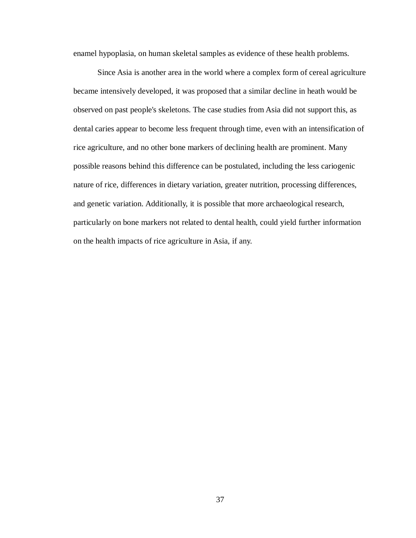enamel hypoplasia, on human skeletal samples as evidence of these health problems.

Since Asia is another area in the world where a complex form of cereal agriculture became intensively developed, it was proposed that a similar decline in heath would be observed on past people's skeletons. The case studies from Asia did not support this, as dental caries appear to become less frequent through time, even with an intensification of rice agriculture, and no other bone markers of declining health are prominent. Many possible reasons behind this difference can be postulated, including the less cariogenic nature of rice, differences in dietary variation, greater nutrition, processing differences, and genetic variation. Additionally, it is possible that more archaeological research, particularly on bone markers not related to dental health, could yield further information on the health impacts of rice agriculture in Asia, if any.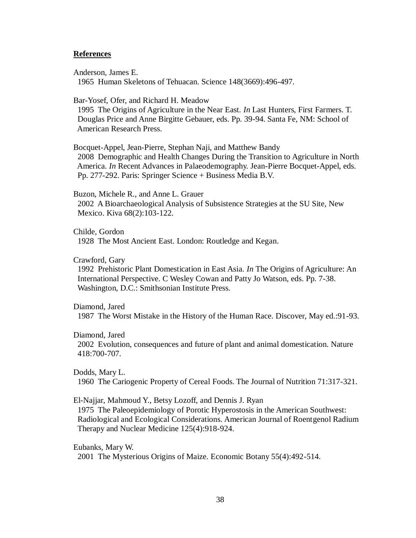# **References**

Anderson, James E.

1965 Human Skeletons of Tehuacan. Science 148(3669):496-497.

Bar-Yosef, Ofer, and Richard H. Meadow

 1995 The Origins of Agriculture in the Near East. *In* Last Hunters, First Farmers. T. Douglas Price and Anne Birgitte Gebauer, eds. Pp. 39-94. Santa Fe, NM: School of American Research Press.

Bocquet-Appel, Jean-Pierre, Stephan Naji, and Matthew Bandy

 2008 Demographic and Health Changes During the Transition to Agriculture in North America. *In* Recent Advances in Palaeodemography. Jean-Pierre Bocquet-Appel, eds. Pp. 277-292. Paris: Springer Science + Business Media B.V.

Buzon, Michele R., and Anne L. Grauer

 2002 A Bioarchaeological Analysis of Subsistence Strategies at the SU Site, New Mexico. Kiva 68(2):103-122.

Childe, Gordon

1928 The Most Ancient East. London: Routledge and Kegan.

Crawford, Gary

 1992 Prehistoric Plant Domestication in East Asia. *In* The Origins of Agriculture: An International Perspective. C Wesley Cowan and Patty Jo Watson, eds. Pp. 7-38. Washington, D.C.: Smithsonian Institute Press.

Diamond, Jared

1987 The Worst Mistake in the History of the Human Race. Discover, May ed.:91-93.

#### Diamond, Jared

 2002 Evolution, consequences and future of plant and animal domestication. Nature 418:700-707.

Dodds, Mary L.

1960 The Cariogenic Property of Cereal Foods. The Journal of Nutrition 71:317-321.

El-Najjar, Mahmoud Y., Betsy Lozoff, and Dennis J. Ryan

 1975 The Paleoepidemiology of Porotic Hyperostosis in the American Southwest: Radiological and Ecological Considerations. American Journal of Roentgenol Radium Therapy and Nuclear Medicine 125(4):918-924.

Eubanks, Mary W.

2001 The Mysterious Origins of Maize. Economic Botany 55(4):492-514.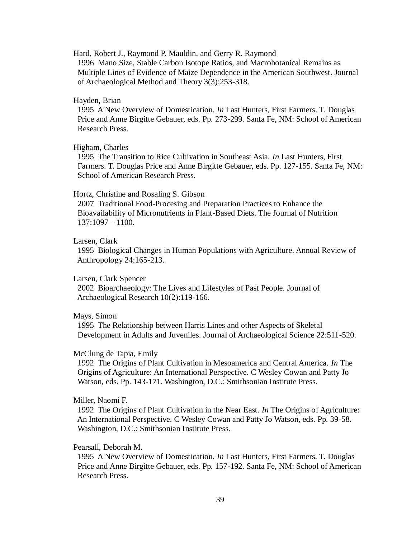Hard, Robert J., Raymond P. Mauldin, and Gerry R. Raymond

 1996 Mano Size, Stable Carbon Isotope Ratios, and Macrobotanical Remains as Multiple Lines of Evidence of Maize Dependence in the American Southwest. Journal of Archaeological Method and Theory 3(3):253-318.

# Hayden, Brian

 1995 A New Overview of Domestication. *In* Last Hunters, First Farmers. T. Douglas Price and Anne Birgitte Gebauer, eds. Pp. 273-299. Santa Fe, NM: School of American Research Press.

## Higham, Charles

 1995 The Transition to Rice Cultivation in Southeast Asia. *In* Last Hunters, First Farmers. T. Douglas Price and Anne Birgitte Gebauer, eds. Pp. 127-155. Santa Fe, NM: School of American Research Press.

#### Hortz, Christine and Rosaling S. Gibson

 2007 Traditional Food-Procesing and Preparation Practices to Enhance the Bioavailability of Micronutrients in Plant-Based Diets. The Journal of Nutrition 137:1097 – 1100.

#### Larsen, Clark

 1995 Biological Changes in Human Populations with Agriculture. Annual Review of Anthropology 24:165-213.

#### Larsen, Clark Spencer

 2002 Bioarchaeology: The Lives and Lifestyles of Past People. Journal of Archaeological Research 10(2):119-166.

#### Mays, Simon

 1995 The Relationship between Harris Lines and other Aspects of Skeletal Development in Adults and Juveniles. Journal of Archaeological Science 22:511-520.

#### McClung de Tapia, Emily

 1992 The Origins of Plant Cultivation in Mesoamerica and Central America. *In* The Origins of Agriculture: An International Perspective. C Wesley Cowan and Patty Jo Watson, eds. Pp. 143-171. Washington, D.C.: Smithsonian Institute Press.

### Miller, Naomi F.

 1992 The Origins of Plant Cultivation in the Near East. *In* The Origins of Agriculture: An International Perspective. C Wesley Cowan and Patty Jo Watson, eds. Pp. 39-58. Washington, D.C.: Smithsonian Institute Press.

#### Pearsall, Deborah M.

 1995 A New Overview of Domestication. *In* Last Hunters, First Farmers. T. Douglas Price and Anne Birgitte Gebauer, eds. Pp. 157-192. Santa Fe, NM: School of American Research Press.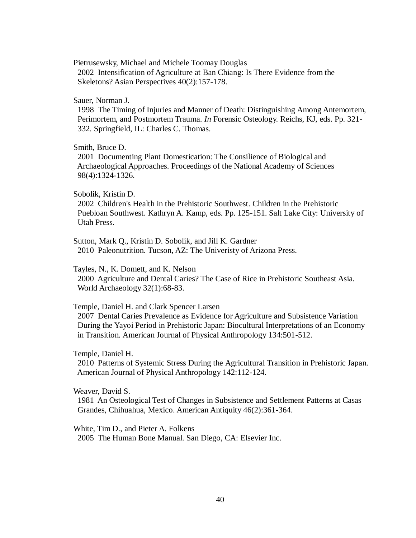Pietrusewsky, Michael and Michele Toomay Douglas

 2002 Intensification of Agriculture at Ban Chiang: Is There Evidence from the Skeletons? Asian Perspectives 40(2):157-178.

Sauer, Norman J.

 1998 The Timing of Injuries and Manner of Death: Distinguishing Among Antemortem, Perimortem, and Postmortem Trauma. *In* Forensic Osteology. Reichs, KJ, eds. Pp. 321- 332. Springfield, IL: Charles C. Thomas.

Smith, Bruce D.

 2001 Documenting Plant Domestication: The Consilience of Biological and Archaeological Approaches. Proceedings of the National Academy of Sciences 98(4):1324-1326.

# Sobolik, Kristin D.

 2002 Children's Health in the Prehistoric Southwest. Children in the Prehistoric Puebloan Southwest. Kathryn A. Kamp, eds. Pp. 125-151. Salt Lake City: University of Utah Press.

Sutton, Mark Q., Kristin D. Sobolik, and Jill K. Gardner 2010 Paleonutrition. Tucson, AZ: The Univeristy of Arizona Press.

Tayles, N., K. Domett, and K. Nelson 2000 Agriculture and Dental Caries? The Case of Rice in Prehistoric Southeast Asia. World Archaeology 32(1):68-83.

Temple, Daniel H. and Clark Spencer Larsen

 2007 Dental Caries Prevalence as Evidence for Agriculture and Subsistence Variation During the Yayoi Period in Prehistoric Japan: Biocultural Interpretations of an Economy in Transition. American Journal of Physical Anthropology 134:501-512.

Temple, Daniel H.

 2010 Patterns of Systemic Stress During the Agricultural Transition in Prehistoric Japan. American Journal of Physical Anthropology 142:112-124.

Weaver, David S.

 1981 An Osteological Test of Changes in Subsistence and Settlement Patterns at Casas Grandes, Chihuahua, Mexico. American Antiquity 46(2):361-364.

White, Tim D., and Pieter A. Folkens

2005 The Human Bone Manual. San Diego, CA: Elsevier Inc.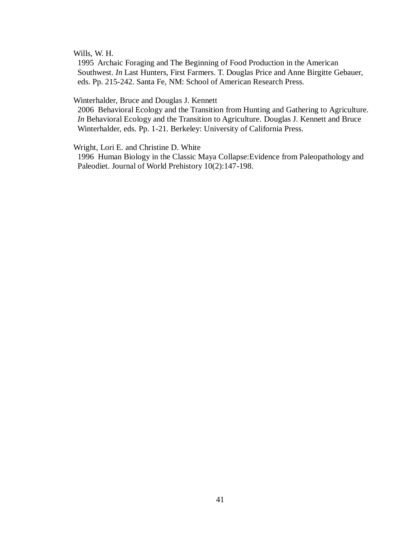Wills, W. H.

 1995 Archaic Foraging and The Beginning of Food Production in the American Southwest. *In* Last Hunters, First Farmers. T. Douglas Price and Anne Birgitte Gebauer, eds. Pp. 215-242. Santa Fe, NM: School of American Research Press.

Winterhalder, Bruce and Douglas J. Kennett

 2006 Behavioral Ecology and the Transition from Hunting and Gathering to Agriculture. *In* Behavioral Ecology and the Transition to Agriculture. Douglas J. Kennett and Bruce Winterhalder, eds. Pp. 1-21. Berkeley: University of California Press.

Wright, Lori E. and Christine D. White

 1996 Human Biology in the Classic Maya Collapse:Evidence from Paleopathology and Paleodiet. Journal of World Prehistory 10(2):147-198.